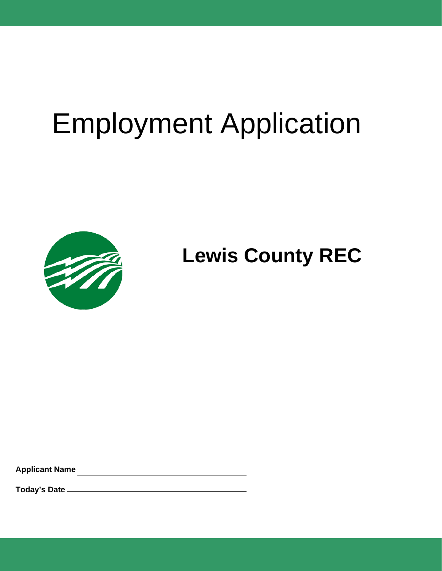# Employment Application



## **Lewis County REC**

**Applicant Name** 

**Today's Date**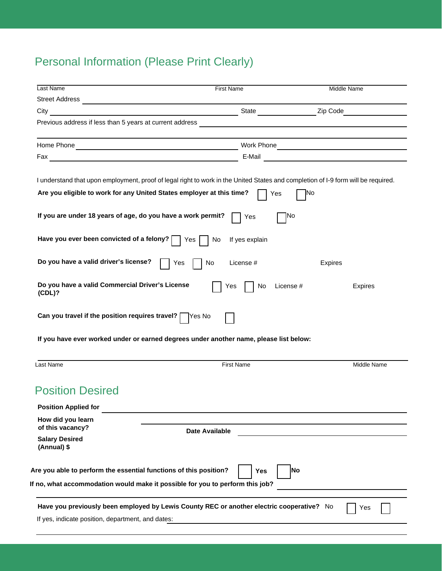### Personal Information (Please Print Clearly)

|                                                                                                                                                                                                                                      | <b>First Name</b>                                                                                                                 | Middle Name                             |
|--------------------------------------------------------------------------------------------------------------------------------------------------------------------------------------------------------------------------------------|-----------------------------------------------------------------------------------------------------------------------------------|-----------------------------------------|
| Street Address <b>Contract Contract Contract Contract Contract Contract Contract Contract Contract Contract Contract Contract Contract Contract Contract Contract Contract Contract Contract Contract Contract Contract Contract</b> |                                                                                                                                   |                                         |
| City                                                                                                                                                                                                                                 |                                                                                                                                   | State <b>State State State Zip Code</b> |
| Previous address if less than 5 years at current address                                                                                                                                                                             |                                                                                                                                   |                                         |
|                                                                                                                                                                                                                                      |                                                                                                                                   |                                         |
|                                                                                                                                                                                                                                      |                                                                                                                                   |                                         |
|                                                                                                                                                                                                                                      | I understand that upon employment, proof of legal right to work in the United States and completion of I-9 form will be required. |                                         |
| Are you eligible to work for any United States employer at this time?                                                                                                                                                                | Yes                                                                                                                               | <b>INo</b>                              |
| If you are under 18 years of age, do you have a work permit?                                                                                                                                                                         | No<br>Yes                                                                                                                         |                                         |
| Have you ever been convicted of a felony? $\Box$ Yes                                                                                                                                                                                 | If yes explain<br>No.                                                                                                             |                                         |
| Do you have a valid driver's license?                                                                                                                                                                                                | Yes<br>No<br>License #                                                                                                            | Expires                                 |
| Do you have a valid Commercial Driver's License<br>$(CDL)$ ?                                                                                                                                                                         | No<br>License #<br>Yes                                                                                                            | Expires                                 |
|                                                                                                                                                                                                                                      |                                                                                                                                   |                                         |
| Can you travel if the position requires travel? $\Box$ Yes No                                                                                                                                                                        |                                                                                                                                   |                                         |
|                                                                                                                                                                                                                                      | If you have ever worked under or earned degrees under another name, please list below:                                            |                                         |
|                                                                                                                                                                                                                                      | <b>First Name</b>                                                                                                                 | <b>Middle Name</b>                      |
| Last Name<br><b>Position Desired</b>                                                                                                                                                                                                 |                                                                                                                                   |                                         |
| <b>Position Applied for</b>                                                                                                                                                                                                          |                                                                                                                                   |                                         |
| How did you learn<br>of this vacancy?                                                                                                                                                                                                |                                                                                                                                   |                                         |
| <b>Salary Desired</b><br>(Annual) \$                                                                                                                                                                                                 | <b>Date Available</b>                                                                                                             |                                         |
| Are you able to perform the essential functions of this position?                                                                                                                                                                    | Yes                                                                                                                               | No                                      |
|                                                                                                                                                                                                                                      | If no, what accommodation would make it possible for you to perform this job?                                                     |                                         |
|                                                                                                                                                                                                                                      | Have you previously been employed by Lewis County REC or another electric cooperative? No                                         | Yes                                     |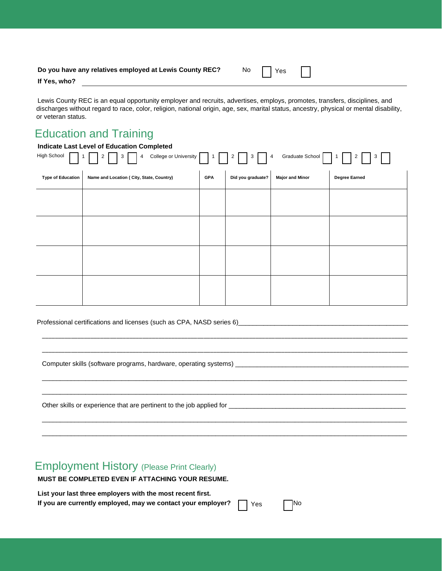**Do you have any relatives employed at Lewis County REC?** No

**If Yes, who?** 

Lewis County REC is an equal opportunity employer and recruits, advertises, employs, promotes, transfers, disciplines, and discharges without regard to race, color, religion, national origin, age, sex, marital status, ancestry, physical or mental disability, or veteran status.

#### Education and Training

| Indicate Last Level of Education Completed                                                                                                                                 |                                           |            |                   |                        |               |
|----------------------------------------------------------------------------------------------------------------------------------------------------------------------------|-------------------------------------------|------------|-------------------|------------------------|---------------|
| 4 College or University 1<br>High School<br>Graduate School<br>$\overline{2}$<br>$\mathbf{3}$<br>$2 \Box 3$<br>$\Box$ $\Box$ $\Box$ $\Box$ $\Box$<br>$\vert 4 \vert$<br>11 |                                           |            |                   |                        |               |
| <b>Type of Education</b>                                                                                                                                                   | Name and Location ( City, State, Country) | <b>GPA</b> | Did you graduate? | <b>Major and Minor</b> | Degree Earned |
|                                                                                                                                                                            |                                           |            |                   |                        |               |
|                                                                                                                                                                            |                                           |            |                   |                        |               |
|                                                                                                                                                                            |                                           |            |                   |                        |               |
|                                                                                                                                                                            |                                           |            |                   |                        |               |
|                                                                                                                                                                            |                                           |            |                   |                        |               |
|                                                                                                                                                                            |                                           |            |                   |                        |               |
|                                                                                                                                                                            |                                           |            |                   |                        |               |
|                                                                                                                                                                            |                                           |            |                   |                        |               |

\_\_\_\_\_\_\_\_\_\_\_\_\_\_\_\_\_\_\_\_\_\_\_\_\_\_\_\_\_\_\_\_\_\_\_\_\_\_\_\_\_\_\_\_\_\_\_\_\_\_\_\_\_\_\_\_\_\_\_\_\_\_\_\_\_\_\_\_\_\_\_\_\_\_\_\_\_\_\_\_\_\_\_\_\_\_\_\_\_\_\_\_\_\_\_\_\_\_\_\_\_\_\_\_\_\_\_\_\_\_\_\_\_ \_\_\_\_\_\_\_\_\_\_\_\_\_\_\_\_\_\_\_\_\_\_\_\_\_\_\_\_\_\_\_\_\_\_\_\_\_\_\_\_\_\_\_\_\_\_\_\_\_\_\_\_\_\_\_\_\_\_\_\_\_\_\_\_\_\_\_\_\_\_\_\_\_\_\_\_\_\_\_\_\_\_\_\_\_\_\_\_\_\_\_\_\_\_\_\_\_\_\_\_\_\_\_\_\_\_\_\_\_\_\_\_\_

\_\_\_\_\_\_\_\_\_\_\_\_\_\_\_\_\_\_\_\_\_\_\_\_\_\_\_\_\_\_\_\_\_\_\_\_\_\_\_\_\_\_\_\_\_\_\_\_\_\_\_\_\_\_\_\_\_\_\_\_\_\_\_\_\_\_\_\_\_\_\_\_\_\_\_\_\_\_\_\_\_\_\_\_\_\_\_\_\_\_\_\_\_\_\_\_\_\_\_\_\_ \_\_\_\_\_\_\_\_\_\_\_\_\_\_\_\_\_\_\_\_\_\_\_\_\_\_\_\_\_\_\_\_\_\_\_\_\_\_\_\_\_\_\_\_\_\_\_\_\_\_\_\_\_\_\_\_\_\_\_\_\_\_\_\_\_\_\_\_\_\_\_\_\_\_\_\_\_\_\_\_\_\_\_\_\_\_\_\_\_\_\_\_\_\_\_\_\_\_\_\_\_

\_\_\_\_\_\_\_\_\_\_\_\_\_\_\_\_\_\_\_\_\_\_\_\_\_\_\_\_\_\_\_\_\_\_\_\_\_\_\_\_\_\_\_\_\_\_\_\_\_\_\_\_\_\_\_\_\_\_\_\_\_\_\_\_\_\_\_\_\_\_\_\_\_\_\_\_\_\_\_\_\_\_\_\_\_\_\_\_\_\_\_\_\_\_\_\_\_\_\_\_\_ \_\_\_\_\_\_\_\_\_\_\_\_\_\_\_\_\_\_\_\_\_\_\_\_\_\_\_\_\_\_\_\_\_\_\_\_\_\_\_\_\_\_\_\_\_\_\_\_\_\_\_\_\_\_\_\_\_\_\_\_\_\_\_\_\_\_\_\_\_\_\_\_\_\_\_\_\_\_\_\_\_\_\_\_\_\_\_\_\_\_\_\_\_\_\_\_\_\_\_\_\_

Professional certifications and licenses (such as CPA, NASD series 6)\_\_\_\_\_\_\_\_\_\_\_\_\_\_\_\_\_\_\_\_\_\_\_\_\_\_\_\_\_\_\_\_\_\_\_\_\_\_\_\_\_\_\_\_\_\_\_

Computer skills (software programs, hardware, operating systems) \_\_\_\_\_\_\_\_\_\_\_\_\_\_\_\_\_\_\_\_\_\_\_\_\_\_\_\_\_\_\_\_\_\_\_\_\_\_\_\_\_\_\_\_\_\_\_\_

Other skills or experience that are pertinent to the job applied for \_\_\_\_\_\_\_\_\_\_\_

#### Employment History (Please Print Clearly)

**MUST BE COMPLETED EVEN IF ATTACHING YOUR RESUME.** 

**List your last three employers with the most recent first. If you are currently employed, may we contact your employer?**  $\Box$  Yes  $\Box$  No

|--|--|

Yes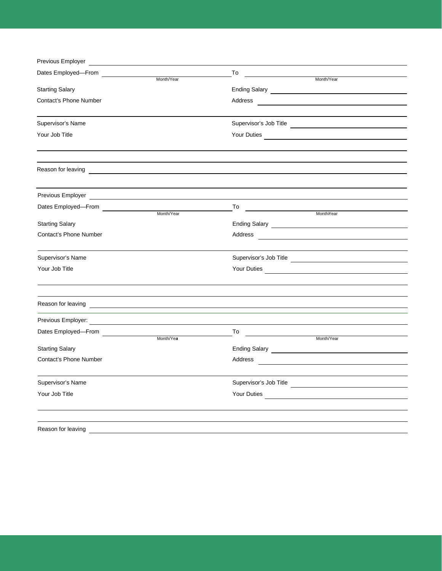| Previous Employer                                                   |            |                        |                                                                                                                                                                                                                                     |
|---------------------------------------------------------------------|------------|------------------------|-------------------------------------------------------------------------------------------------------------------------------------------------------------------------------------------------------------------------------------|
| Dates Employed-From                                                 |            | To                     |                                                                                                                                                                                                                                     |
|                                                                     | Month/Year |                        | Month/Year                                                                                                                                                                                                                          |
| <b>Starting Salary</b>                                              |            |                        | Ending Salary <u>experience</u> and the service of the service of the service of the service of the service of the service of the service of the service of the service of the service of the service of the service of the service |
| <b>Contact's Phone Number</b>                                       |            | Address                |                                                                                                                                                                                                                                     |
|                                                                     |            |                        |                                                                                                                                                                                                                                     |
| Supervisor's Name                                                   |            | Supervisor's Job Title |                                                                                                                                                                                                                                     |
| Your Job Title                                                      |            |                        |                                                                                                                                                                                                                                     |
|                                                                     |            |                        |                                                                                                                                                                                                                                     |
|                                                                     |            |                        |                                                                                                                                                                                                                                     |
|                                                                     |            |                        |                                                                                                                                                                                                                                     |
| Previous Employer                                                   |            |                        |                                                                                                                                                                                                                                     |
| Dates Employed-From                                                 | Month/Year | To                     | Month/Year                                                                                                                                                                                                                          |
| <b>Starting Salary</b>                                              |            |                        |                                                                                                                                                                                                                                     |
| <b>Contact's Phone Number</b>                                       |            | Address                |                                                                                                                                                                                                                                     |
|                                                                     |            |                        |                                                                                                                                                                                                                                     |
| Supervisor's Name                                                   |            |                        | Supervisor's Job Title                                                                                                                                                                                                              |
| Your Job Title                                                      |            | Your Duties            |                                                                                                                                                                                                                                     |
|                                                                     |            |                        |                                                                                                                                                                                                                                     |
| Reason for leaving <b>Exercise 2020 CONSUMERS AND READ PROPERTY</b> |            |                        |                                                                                                                                                                                                                                     |
| Previous Employer:                                                  |            |                        |                                                                                                                                                                                                                                     |
| Dates Employed-From                                                 |            | To                     |                                                                                                                                                                                                                                     |
|                                                                     | Month/Year |                        | Month/Year                                                                                                                                                                                                                          |
| <b>Starting Salary</b>                                              |            |                        |                                                                                                                                                                                                                                     |
| Contact's Phone Number                                              |            | Address                |                                                                                                                                                                                                                                     |
| Supervisor's Name                                                   |            |                        | Supervisor's Job Title                                                                                                                                                                                                              |
| Your Job Title                                                      |            | Your Duties            | <u> 1980 - Jan Stein Stein, fransk politik (f. 1980)</u>                                                                                                                                                                            |
|                                                                     |            |                        |                                                                                                                                                                                                                                     |
|                                                                     |            |                        |                                                                                                                                                                                                                                     |
| Reason for leaving                                                  |            |                        |                                                                                                                                                                                                                                     |